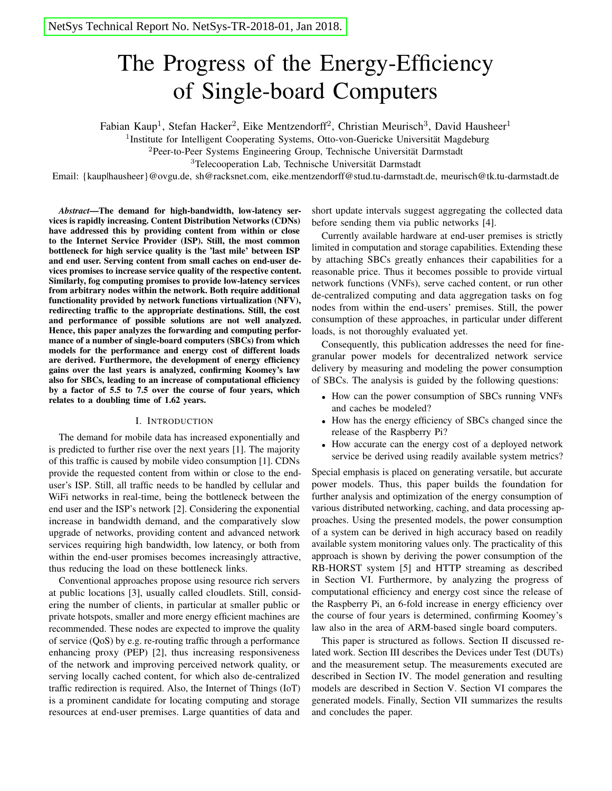# The Progress of the Energy-Efficiency of Single-board Computers

Fabian Kaup<sup>1</sup>, Stefan Hacker<sup>2</sup>, Eike Mentzendorff<sup>2</sup>, Christian Meurisch<sup>3</sup>, David Hausheer<sup>1</sup>

<sup>1</sup>Institute for Intelligent Cooperating Systems, Otto-von-Guericke Universität Magdeburg

<sup>2</sup>Peer-to-Peer Systems Engineering Group, Technische Universität Darmstadt

<sup>3</sup>Telecooperation Lab, Technische Universität Darmstadt

Email: {kaup|hausheer}@ovgu.de, sh@racksnet.com, eike.mentzendorff@stud.tu-darmstadt.de, meurisch@tk.tu-darmstadt.de

*Abstract*—The demand for high-bandwidth, low-latency services is rapidly increasing. Content Distribution Networks (CDNs) have addressed this by providing content from within or close to the Internet Service Provider (ISP). Still, the most common bottleneck for high service quality is the 'last mile' between ISP and end user. Serving content from small caches on end-user devices promises to increase service quality of the respective content. Similarly, fog computing promises to provide low-latency services from arbitrary nodes within the network. Both require additional functionality provided by network functions virtualization (NFV), redirecting traffic to the appropriate destinations. Still, the cost and performance of possible solutions are not well analyzed. Hence, this paper analyzes the forwarding and computing performance of a number of single-board computers (SBCs) from which models for the performance and energy cost of different loads are derived. Furthermore, the development of energy efficiency gains over the last years is analyzed, confirming Koomey's law also for SBCs, leading to an increase of computational efficiency by a factor of 5.5 to 7.5 over the course of four years, which relates to a doubling time of 1.62 years.

#### I. INTRODUCTION

The demand for mobile data has increased exponentially and is predicted to further rise over the next years [1]. The majority of this traffic is caused by mobile video consumption [1]. CDNs provide the requested content from within or close to the enduser's ISP. Still, all traffic needs to be handled by cellular and WiFi networks in real-time, being the bottleneck between the end user and the ISP's network [2]. Considering the exponential increase in bandwidth demand, and the comparatively slow upgrade of networks, providing content and advanced network services requiring high bandwidth, low latency, or both from within the end-user promises becomes increasingly attractive, thus reducing the load on these bottleneck links.

Conventional approaches propose using resource rich servers at public locations [3], usually called cloudlets. Still, considering the number of clients, in particular at smaller public or private hotspots, smaller and more energy efficient machines are recommended. These nodes are expected to improve the quality of service (QoS) by e.g. re-routing traffic through a performance enhancing proxy (PEP) [2], thus increasing responsiveness of the network and improving perceived network quality, or serving locally cached content, for which also de-centralized traffic redirection is required. Also, the Internet of Things (IoT) is a prominent candidate for locating computing and storage resources at end-user premises. Large quantities of data and

short update intervals suggest aggregating the collected data before sending them via public networks [4].

Currently available hardware at end-user premises is strictly limited in computation and storage capabilities. Extending these by attaching SBCs greatly enhances their capabilities for a reasonable price. Thus it becomes possible to provide virtual network functions (VNFs), serve cached content, or run other de-centralized computing and data aggregation tasks on fog nodes from within the end-users' premises. Still, the power consumption of these approaches, in particular under different loads, is not thoroughly evaluated yet.

Consequently, this publication addresses the need for finegranular power models for decentralized network service delivery by measuring and modeling the power consumption of SBCs. The analysis is guided by the following questions:

- How can the power consumption of SBCs running VNFs and caches be modeled?
- How has the energy efficiency of SBCs changed since the release of the Raspberry Pi?
- How accurate can the energy cost of a deployed network service be derived using readily available system metrics?

Special emphasis is placed on generating versatile, but accurate power models. Thus, this paper builds the foundation for further analysis and optimization of the energy consumption of various distributed networking, caching, and data processing approaches. Using the presented models, the power consumption of a system can be derived in high accuracy based on readily available system monitoring values only. The practicality of this approach is shown by deriving the power consumption of the RB-HORST system [5] and HTTP streaming as described in Section VI. Furthermore, by analyzing the progress of computational efficiency and energy cost since the release of the Raspberry Pi, an 6-fold increase in energy efficiency over the course of four years is determined, confirming Koomey's law also in the area of ARM-based single board computers.

This paper is structured as follows. Section II discussed related work. Section III describes the Devices under Test (DUTs) and the measurement setup. The measurements executed are described in Section IV. The model generation and resulting models are described in Section V. Section VI compares the generated models. Finally, Section VII summarizes the results and concludes the paper.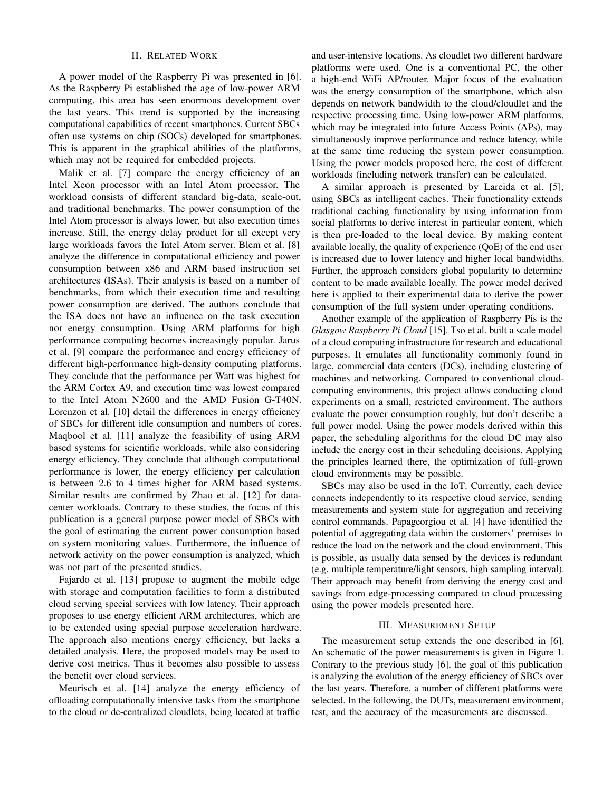## II. RELATED WORK

A power model of the Raspberry Pi was presented in [6]. As the Raspberry Pi established the age of low-power ARM computing, this area has seen enormous development over the last years. This trend is supported by the increasing computational capabilities of recent smartphones. Current SBCs often use systems on chip (SOCs) developed for smartphones. This is apparent in the graphical abilities of the platforms, which may not be required for embedded projects.

Malik et al. [7] compare the energy efficiency of an Intel Xeon processor with an Intel Atom processor. The workload consists of different standard big-data, scale-out, and traditional benchmarks. The power consumption of the Intel Atom processor is always lower, but also execution times increase. Still, the energy delay product for all except very large workloads favors the Intel Atom server. Blem et al. [8] analyze the difference in computational efficiency and power consumption between x86 and ARM based instruction set architectures (ISAs). Their analysis is based on a number of benchmarks, from which their execution time and resulting power consumption are derived. The authors conclude that the ISA does not have an influence on the task execution nor energy consumption. Using ARM platforms for high performance computing becomes increasingly popular. Jarus et al. [9] compare the performance and energy efficiency of different high-performance high-density computing platforms. They conclude that the performance per Watt was highest for the ARM Cortex A9, and execution time was lowest compared to the Intel Atom N2600 and the AMD Fusion G-T40N. Lorenzon et al. [10] detail the differences in energy efficiency of SBCs for different idle consumption and numbers of cores. Maqbool et al. [11] analyze the feasibility of using ARM based systems for scientific workloads, while also considering energy efficiency. They conclude that although computational performance is lower, the energy efficiency per calculation is between 2.6 to 4 times higher for ARM based systems. Similar results are confirmed by Zhao et al. [12] for datacenter workloads. Contrary to these studies, the focus of this publication is a general purpose power model of SBCs with the goal of estimating the current power consumption based on system monitoring values. Furthermore, the influence of network activity on the power consumption is analyzed, which was not part of the presented studies.

Fajardo et al. [13] propose to augment the mobile edge with storage and computation facilities to form a distributed cloud serving special services with low latency. Their approach proposes to use energy efficient ARM architectures, which are to be extended using special purpose acceleration hardware. The approach also mentions energy efficiency, but lacks a detailed analysis. Here, the proposed models may be used to derive cost metrics. Thus it becomes also possible to assess the benefit over cloud services.

Meurisch et al. [14] analyze the energy efficiency of offloading computationally intensive tasks from the smartphone to the cloud or de-centralized cloudlets, being located at traffic and user-intensive locations. As cloudlet two different hardware platforms were used. One is a conventional PC, the other a high-end WiFi AP/router. Major focus of the evaluation was the energy consumption of the smartphone, which also depends on network bandwidth to the cloud/cloudlet and the respective processing time. Using low-power ARM platforms, which may be integrated into future Access Points (APs), may simultaneously improve performance and reduce latency, while at the same time reducing the system power consumption. Using the power models proposed here, the cost of different workloads (including network transfer) can be calculated.

A similar approach is presented by Lareida et al. [5], using SBCs as intelligent caches. Their functionality extends traditional caching functionality by using information from social platforms to derive interest in particular content, which is then pre-loaded to the local device. By making content available locally, the quality of experience (QoE) of the end user is increased due to lower latency and higher local bandwidths. Further, the approach considers global popularity to determine content to be made available locally. The power model derived here is applied to their experimental data to derive the power consumption of the full system under operating conditions.

Another example of the application of Raspberry Pis is the *Glasgow Raspberry Pi Cloud* [15]. Tso et al. built a scale model of a cloud computing infrastructure for research and educational purposes. It emulates all functionality commonly found in large, commercial data centers (DCs), including clustering of machines and networking. Compared to conventional cloudcomputing environments, this project allows conducting cloud experiments on a small, restricted environment. The authors evaluate the power consumption roughly, but don't describe a full power model. Using the power models derived within this paper, the scheduling algorithms for the cloud DC may also include the energy cost in their scheduling decisions. Applying the principles learned there, the optimization of full-grown cloud environments may be possible.

SBCs may also be used in the IoT. Currently, each device connects independently to its respective cloud service, sending measurements and system state for aggregation and receiving control commands. Papageorgiou et al. [4] have identified the potential of aggregating data within the customers' premises to reduce the load on the network and the cloud environment. This is possible, as usually data sensed by the devices is redundant (e.g. multiple temperature/light sensors, high sampling interval). Their approach may benefit from deriving the energy cost and savings from edge-processing compared to cloud processing using the power models presented here.

## III. MEASUREMENT SETUP

The measurement setup extends the one described in [6]. An schematic of the power measurements is given in Figure 1. Contrary to the previous study [6], the goal of this publication is analyzing the evolution of the energy efficiency of SBCs over the last years. Therefore, a number of different platforms were selected. In the following, the DUTs, measurement environment, test, and the accuracy of the measurements are discussed.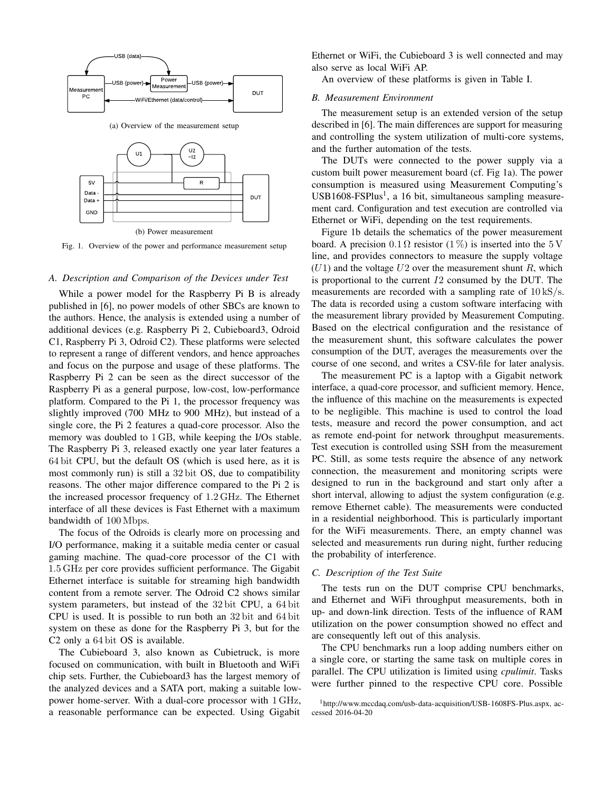

Fig. 1. Overview of the power and performance measurement setup

#### *A. Description and Comparison of the Devices under Test*

While a power model for the Raspberry Pi B is already published in [6], no power models of other SBCs are known to the authors. Hence, the analysis is extended using a number of additional devices (e.g. Raspberry Pi 2, Cubieboard3, Odroid C1, Raspberry Pi 3, Odroid C2). These platforms were selected to represent a range of different vendors, and hence approaches and focus on the purpose and usage of these platforms. The Raspberry Pi 2 can be seen as the direct successor of the Raspberry Pi as a general purpose, low-cost, low-performance platform. Compared to the Pi 1, the processor frequency was slightly improved (700 MHz to 900 MHz), but instead of a single core, the Pi 2 features a quad-core processor. Also the memory was doubled to 1 GB, while keeping the I/Os stable. The Raspberry Pi 3, released exactly one year later features a 64 bit CPU, but the default OS (which is used here, as it is most commonly run) is still a 32 bit OS, due to compatibility reasons. The other major difference compared to the Pi 2 is the increased processor frequency of 1.2 GHz. The Ethernet interface of all these devices is Fast Ethernet with a maximum bandwidth of 100 Mbps.

The focus of the Odroids is clearly more on processing and I/O performance, making it a suitable media center or casual gaming machine. The quad-core processor of the C1 with 1.5 GHz per core provides sufficient performance. The Gigabit Ethernet interface is suitable for streaming high bandwidth content from a remote server. The Odroid C2 shows similar system parameters, but instead of the 32 bit CPU, a 64 bit CPU is used. It is possible to run both an 32 bit and 64 bit system on these as done for the Raspberry Pi 3, but for the C2 only a 64 bit OS is available.

The Cubieboard 3, also known as Cubietruck, is more focused on communication, with built in Bluetooth and WiFi chip sets. Further, the Cubieboard3 has the largest memory of the analyzed devices and a SATA port, making a suitable lowpower home-server. With a dual-core processor with 1 GHz, a reasonable performance can be expected. Using Gigabit

Ethernet or WiFi, the Cubieboard 3 is well connected and may also serve as local WiFi AP.

An overview of these platforms is given in Table I.

## *B. Measurement Environment*

The measurement setup is an extended version of the setup described in [6]. The main differences are support for measuring and controlling the system utilization of multi-core systems, and the further automation of the tests.

The DUTs were connected to the power supply via a custom built power measurement board (cf. Fig 1a). The power consumption is measured using Measurement Computing's USB1608-FSPlus<sup>1</sup>, a 16 bit, simultaneous sampling measurement card. Configuration and test execution are controlled via Ethernet or WiFi, depending on the test requirements.

Figure 1b details the schematics of the power measurement board. A precision  $0.1 \Omega$  resistor  $(1 \%)$  is inserted into the 5 V line, and provides connectors to measure the supply voltage  $(U1)$  and the voltage  $U2$  over the measurement shunt R, which is proportional to the current  $I2$  consumed by the DUT. The measurements are recorded with a sampling rate of  $10 \text{ kS/s}$ . The data is recorded using a custom software interfacing with the measurement library provided by Measurement Computing. Based on the electrical configuration and the resistance of the measurement shunt, this software calculates the power consumption of the DUT, averages the measurements over the course of one second, and writes a CSV-file for later analysis.

The measurement PC is a laptop with a Gigabit network interface, a quad-core processor, and sufficient memory. Hence, the influence of this machine on the measurements is expected to be negligible. This machine is used to control the load tests, measure and record the power consumption, and act as remote end-point for network throughput measurements. Test execution is controlled using SSH from the measurement PC. Still, as some tests require the absence of any network connection, the measurement and monitoring scripts were designed to run in the background and start only after a short interval, allowing to adjust the system configuration (e.g. remove Ethernet cable). The measurements were conducted in a residential neighborhood. This is particularly important for the WiFi measurements. There, an empty channel was selected and measurements run during night, further reducing the probability of interference.

#### *C. Description of the Test Suite*

The tests run on the DUT comprise CPU benchmarks, and Ethernet and WiFi throughput measurements, both in up- and down-link direction. Tests of the influence of RAM utilization on the power consumption showed no effect and are consequently left out of this analysis.

The CPU benchmarks run a loop adding numbers either on a single core, or starting the same task on multiple cores in parallel. The CPU utilization is limited using *cpulimit*. Tasks were further pinned to the respective CPU core. Possible

<sup>1</sup>http://www.mccdaq.com/usb-data-acquisition/USB-1608FS-Plus.aspx, accessed 2016-04-20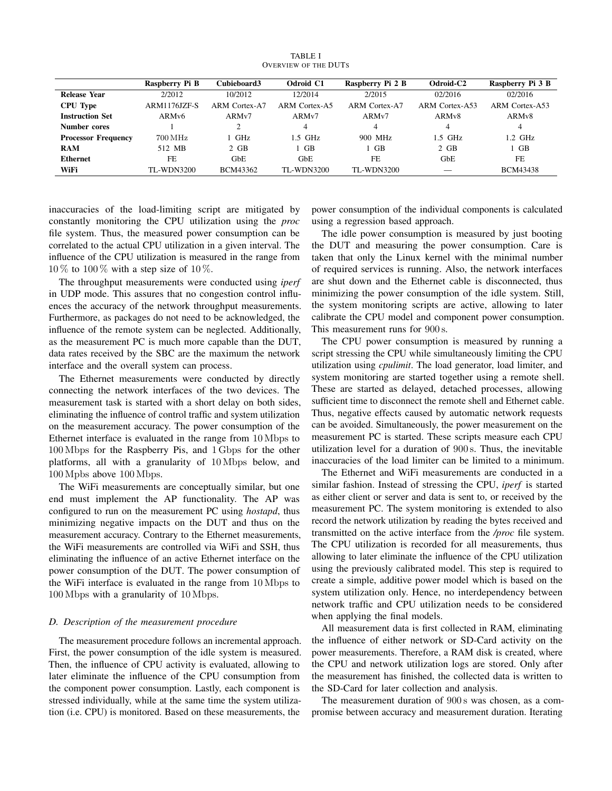|                            | Raspberry Pi B      | Cubieboard3          | Odroid C1         | Raspberry Pi 2 B  | Odroid-C2          | Raspberry Pi 3 B   |
|----------------------------|---------------------|----------------------|-------------------|-------------------|--------------------|--------------------|
| <b>Release Year</b>        | 2/2012              | 10/2012              | 12/2014           | 2/2015            | 02/2016            | 02/2016            |
| <b>CPU</b> Type            | <b>ARM1176JZF-S</b> | <b>ARM Cortex-A7</b> | ARM Cortex-A5     | ARM Cortex-A7     | ARM Cortex-A53     | ARM Cortex-A53     |
| <b>Instruction Set</b>     | ARM <sub>v</sub> 6  | ARMv7                | ARMv7             | ARMv7             | ARM <sub>v</sub> 8 | ARM <sub>v</sub> 8 |
| Number cores               |                     | $\overline{c}$       | 4                 | 4                 | 4                  | 4                  |
| <b>Processor Frequency</b> | $700 \mathrm{MHz}$  | 1 GHz                | $1.5$ GHz         | 900 MHz           | 1.5 GHz            | $1.2$ GHz          |
| <b>RAM</b>                 | 512 MB              | $2$ GB               | $1$ GB            | ∣ GB              | $2$ GB             | $1$ GB             |
| <b>Ethernet</b>            | FE                  | <b>GbE</b>           | <b>GbE</b>        | FE.               | <b>GbE</b>         | FE.                |
| WiFi                       | <b>TL-WDN3200</b>   | BCM43362             | <b>TL-WDN3200</b> | <b>TL-WDN3200</b> |                    | <b>BCM43438</b>    |

TABLE I OVERVIEW OF THE DUTS

inaccuracies of the load-limiting script are mitigated by constantly monitoring the CPU utilization using the *proc* file system. Thus, the measured power consumption can be correlated to the actual CPU utilization in a given interval. The influence of the CPU utilization is measured in the range from  $10\%$  to  $100\%$  with a step size of  $10\%$ .

The throughput measurements were conducted using *iperf* in UDP mode. This assures that no congestion control influences the accuracy of the network throughput measurements. Furthermore, as packages do not need to be acknowledged, the influence of the remote system can be neglected. Additionally, as the measurement PC is much more capable than the DUT, data rates received by the SBC are the maximum the network interface and the overall system can process.

The Ethernet measurements were conducted by directly connecting the network interfaces of the two devices. The measurement task is started with a short delay on both sides, eliminating the influence of control traffic and system utilization on the measurement accuracy. The power consumption of the Ethernet interface is evaluated in the range from 10 Mbps to 100 Mbps for the Raspberry Pis, and 1 Gbps for the other platforms, all with a granularity of 10 Mbps below, and 100 Mpbs above 100 Mbps.

The WiFi measurements are conceptually similar, but one end must implement the AP functionality. The AP was configured to run on the measurement PC using *hostapd*, thus minimizing negative impacts on the DUT and thus on the measurement accuracy. Contrary to the Ethernet measurements, the WiFi measurements are controlled via WiFi and SSH, thus eliminating the influence of an active Ethernet interface on the power consumption of the DUT. The power consumption of the WiFi interface is evaluated in the range from 10 Mbps to 100 Mbps with a granularity of 10 Mbps.

## *D. Description of the measurement procedure*

The measurement procedure follows an incremental approach. First, the power consumption of the idle system is measured. Then, the influence of CPU activity is evaluated, allowing to later eliminate the influence of the CPU consumption from the component power consumption. Lastly, each component is stressed individually, while at the same time the system utilization (i.e. CPU) is monitored. Based on these measurements, the

power consumption of the individual components is calculated using a regression based approach.

The idle power consumption is measured by just booting the DUT and measuring the power consumption. Care is taken that only the Linux kernel with the minimal number of required services is running. Also, the network interfaces are shut down and the Ethernet cable is disconnected, thus minimizing the power consumption of the idle system. Still, the system monitoring scripts are active, allowing to later calibrate the CPU model and component power consumption. This measurement runs for 900 s.

The CPU power consumption is measured by running a script stressing the CPU while simultaneously limiting the CPU utilization using *cpulimit*. The load generator, load limiter, and system monitoring are started together using a remote shell. These are started as delayed, detached processes, allowing sufficient time to disconnect the remote shell and Ethernet cable. Thus, negative effects caused by automatic network requests can be avoided. Simultaneously, the power measurement on the measurement PC is started. These scripts measure each CPU utilization level for a duration of 900 s. Thus, the inevitable inaccuracies of the load limiter can be limited to a minimum.

The Ethernet and WiFi measurements are conducted in a similar fashion. Instead of stressing the CPU, *iperf* is started as either client or server and data is sent to, or received by the measurement PC. The system monitoring is extended to also record the network utilization by reading the bytes received and transmitted on the active interface from the */proc* file system. The CPU utilization is recorded for all measurements, thus allowing to later eliminate the influence of the CPU utilization using the previously calibrated model. This step is required to create a simple, additive power model which is based on the system utilization only. Hence, no interdependency between network traffic and CPU utilization needs to be considered when applying the final models.

All measurement data is first collected in RAM, eliminating the influence of either network or SD-Card activity on the power measurements. Therefore, a RAM disk is created, where the CPU and network utilization logs are stored. Only after the measurement has finished, the collected data is written to the SD-Card for later collection and analysis.

The measurement duration of 900s was chosen, as a compromise between accuracy and measurement duration. Iterating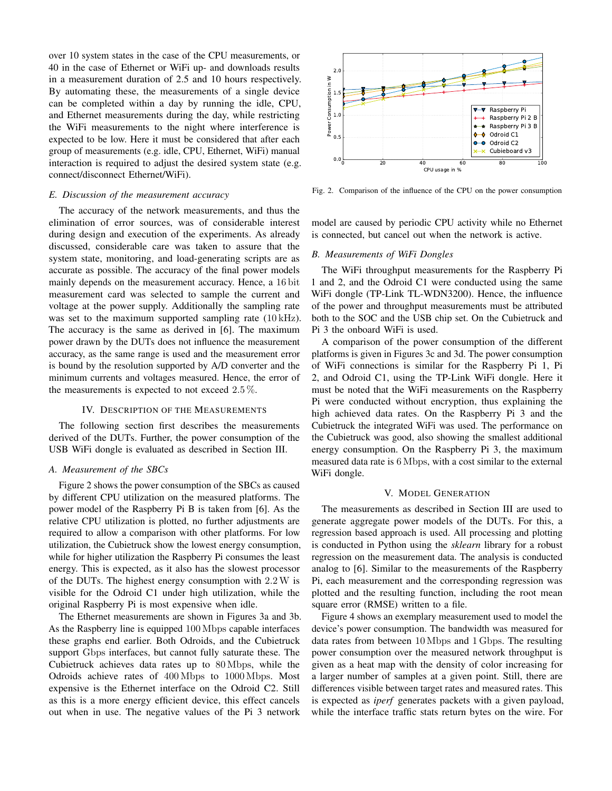over 10 system states in the case of the CPU measurements, or 40 in the case of Ethernet or WiFi up- and downloads results in a measurement duration of 2.5 and 10 hours respectively. By automating these, the measurements of a single device can be completed within a day by running the idle, CPU, and Ethernet measurements during the day, while restricting the WiFi measurements to the night where interference is expected to be low. Here it must be considered that after each group of measurements (e.g. idle, CPU, Ethernet, WiFi) manual interaction is required to adjust the desired system state (e.g. connect/disconnect Ethernet/WiFi).

## *E. Discussion of the measurement accuracy*

The accuracy of the network measurements, and thus the elimination of error sources, was of considerable interest during design and execution of the experiments. As already discussed, considerable care was taken to assure that the system state, monitoring, and load-generating scripts are as accurate as possible. The accuracy of the final power models mainly depends on the measurement accuracy. Hence, a 16 bit measurement card was selected to sample the current and voltage at the power supply. Additionally the sampling rate was set to the maximum supported sampling rate (10 kHz). The accuracy is the same as derived in [6]. The maximum power drawn by the DUTs does not influence the measurement accuracy, as the same range is used and the measurement error is bound by the resolution supported by A/D converter and the minimum currents and voltages measured. Hence, the error of the measurements is expected to not exceed  $2.5\%$ .

## IV. DESCRIPTION OF THE MEASUREMENTS

The following section first describes the measurements derived of the DUTs. Further, the power consumption of the USB WiFi dongle is evaluated as described in Section III.

#### *A. Measurement of the SBCs*

Figure 2 shows the power consumption of the SBCs as caused by different CPU utilization on the measured platforms. The power model of the Raspberry Pi B is taken from [6]. As the relative CPU utilization is plotted, no further adjustments are required to allow a comparison with other platforms. For low utilization, the Cubietruck show the lowest energy consumption, while for higher utilization the Raspberry Pi consumes the least energy. This is expected, as it also has the slowest processor of the DUTs. The highest energy consumption with 2.2W is visible for the Odroid C1 under high utilization, while the original Raspberry Pi is most expensive when idle.

The Ethernet measurements are shown in Figures 3a and 3b. As the Raspberry line is equipped 100 Mbps capable interfaces these graphs end earlier. Both Odroids, and the Cubietruck support Gbps interfaces, but cannot fully saturate these. The Cubietruck achieves data rates up to 80 Mbps, while the Odroids achieve rates of 400 Mbps to 1000 Mbps. Most expensive is the Ethernet interface on the Odroid C2. Still as this is a more energy efficient device, this effect cancels out when in use. The negative values of the Pi 3 network



Fig. 2. Comparison of the influence of the CPU on the power consumption

model are caused by periodic CPU activity while no Ethernet is connected, but cancel out when the network is active.

#### *B. Measurements of WiFi Dongles*

The WiFi throughput measurements for the Raspberry Pi 1 and 2, and the Odroid C1 were conducted using the same WiFi dongle (TP-Link TL-WDN3200). Hence, the influence of the power and throughput measurements must be attributed both to the SOC and the USB chip set. On the Cubietruck and Pi 3 the onboard WiFi is used.

A comparison of the power consumption of the different platforms is given in Figures 3c and 3d. The power consumption of WiFi connections is similar for the Raspberry Pi 1, Pi 2, and Odroid C1, using the TP-Link WiFi dongle. Here it must be noted that the WiFi measurements on the Raspberry Pi were conducted without encryption, thus explaining the high achieved data rates. On the Raspberry Pi 3 and the Cubietruck the integrated WiFi was used. The performance on the Cubietruck was good, also showing the smallest additional energy consumption. On the Raspberry Pi 3, the maximum measured data rate is 6 Mbps, with a cost similar to the external WiFi dongle.

#### V. MODEL GENERATION

The measurements as described in Section III are used to generate aggregate power models of the DUTs. For this, a regression based approach is used. All processing and plotting is conducted in Python using the *sklearn* library for a robust regression on the measurement data. The analysis is conducted analog to [6]. Similar to the measurements of the Raspberry Pi, each measurement and the corresponding regression was plotted and the resulting function, including the root mean square error (RMSE) written to a file.

Figure 4 shows an exemplary measurement used to model the device's power consumption. The bandwidth was measured for data rates from between 10 Mbps and 1 Gbps. The resulting power consumption over the measured network throughput is given as a heat map with the density of color increasing for a larger number of samples at a given point. Still, there are differences visible between target rates and measured rates. This is expected as *iperf* generates packets with a given payload, while the interface traffic stats return bytes on the wire. For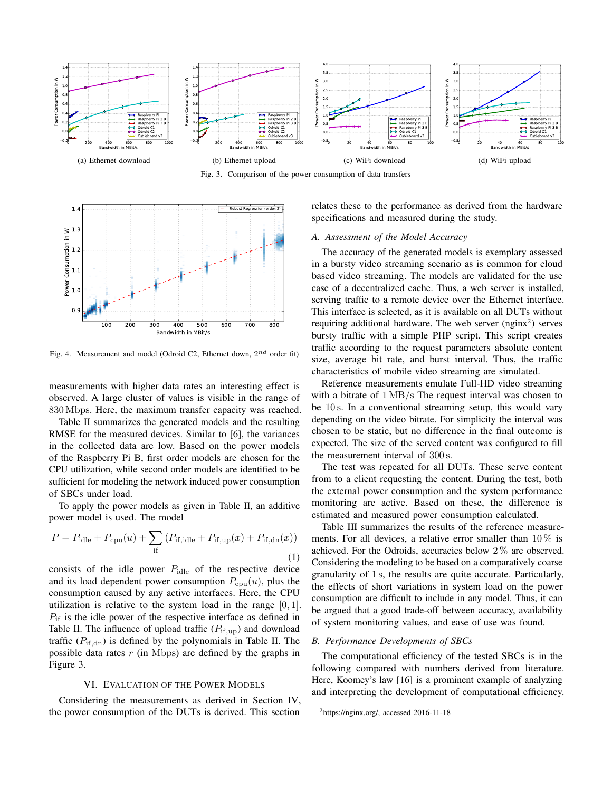

Fig. 3. Comparison of the power consumption of data transfers



Fig. 4. Measurement and model (Odroid C2, Ethernet down,  $2^{nd}$  order fit)

measurements with higher data rates an interesting effect is observed. A large cluster of values is visible in the range of 830 Mbps. Here, the maximum transfer capacity was reached.

Table II summarizes the generated models and the resulting RMSE for the measured devices. Similar to [6], the variances in the collected data are low. Based on the power models of the Raspberry Pi B, first order models are chosen for the CPU utilization, while second order models are identified to be sufficient for modeling the network induced power consumption of SBCs under load.

To apply the power models as given in Table II, an additive power model is used. The model

$$
P = P_{\text{idle}} + P_{\text{cpu}}(u) + \sum_{\text{if}} (P_{\text{if,idle}} + P_{\text{if,up}}(x) + P_{\text{if,dn}}(x))
$$
\n(1)

consists of the idle power  $P_{\text{idle}}$  of the respective device and its load dependent power consumption  $P_{\text{cpu}}(u)$ , plus the consumption caused by any active interfaces. Here, the CPU utilization is relative to the system load in the range  $[0, 1]$ .  $P_{\text{if}}$  is the idle power of the respective interface as defined in Table II. The influence of upload traffic  $(P_{if,up})$  and download traffic ( $P_{\text{if},\text{dn}}$ ) is defined by the polynomials in Table II. The possible data rates  $r$  (in Mbps) are defined by the graphs in Figure 3.

## VI. EVALUATION OF THE POWER MODELS

Considering the measurements as derived in Section IV, the power consumption of the DUTs is derived. This section

relates these to the performance as derived from the hardware specifications and measured during the study.

# *A. Assessment of the Model Accuracy*

The accuracy of the generated models is exemplary assessed in a bursty video streaming scenario as is common for cloud based video streaming. The models are validated for the use case of a decentralized cache. Thus, a web server is installed, serving traffic to a remote device over the Ethernet interface. This interface is selected, as it is available on all DUTs without requiring additional hardware. The web server  $(nginx^2)$  serves bursty traffic with a simple PHP script. This script creates traffic according to the request parameters absolute content size, average bit rate, and burst interval. Thus, the traffic characteristics of mobile video streaming are simulated.

Reference measurements emulate Full-HD video streaming with a bitrate of 1 MB/s The request interval was chosen to be 10 s. In a conventional streaming setup, this would vary depending on the video bitrate. For simplicity the interval was chosen to be static, but no difference in the final outcome is expected. The size of the served content was configured to fill the measurement interval of 300 s.

The test was repeated for all DUTs. These serve content from to a client requesting the content. During the test, both the external power consumption and the system performance monitoring are active. Based on these, the difference is estimated and measured power consumption calculated.

Table III summarizes the results of the reference measurements. For all devices, a relative error smaller than  $10\%$  is achieved. For the Odroids, accuracies below 2 % are observed. Considering the modeling to be based on a comparatively coarse granularity of 1 s, the results are quite accurate. Particularly, the effects of short variations in system load on the power consumption are difficult to include in any model. Thus, it can be argued that a good trade-off between accuracy, availability of system monitoring values, and ease of use was found.

## *B. Performance Developments of SBCs*

The computational efficiency of the tested SBCs is in the following compared with numbers derived from literature. Here, Koomey's law [16] is a prominent example of analyzing and interpreting the development of computational efficiency.

 $<sup>2</sup>$ https://nginx.org/, accessed 2016-11-18</sup>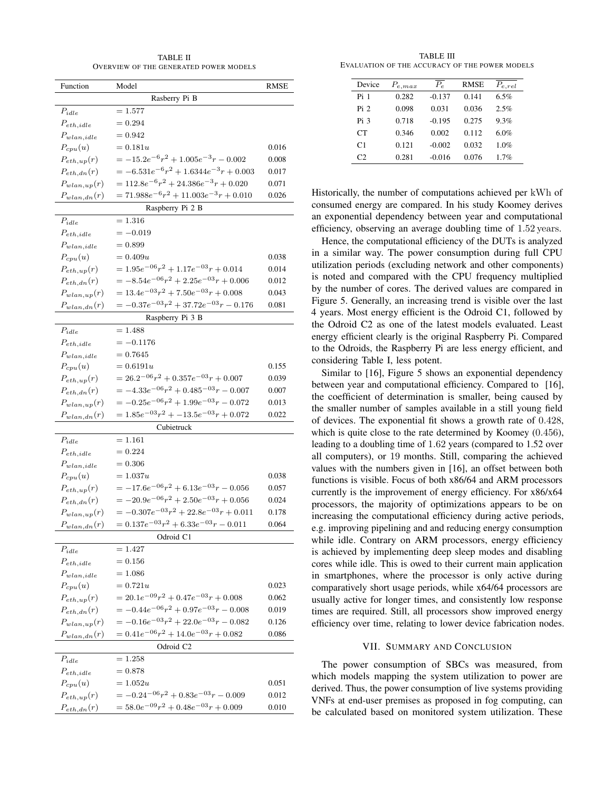TABLE II OVERVIEW OF THE GENERATED POWER MODELS

| Function              | Model                                       | RMSE  |  |  |  |  |
|-----------------------|---------------------------------------------|-------|--|--|--|--|
| Rasberry Pi B         |                                             |       |  |  |  |  |
| $P_{idle}$            | $=1.577$                                    |       |  |  |  |  |
| $P_{eth,idle}$        | $= 0.294$                                   |       |  |  |  |  |
| $P_{wlan,idle}$       | $= 0.942$                                   |       |  |  |  |  |
| $P_{cpu}(u)$          | $= 0.181u$                                  | 0.016 |  |  |  |  |
| $P_{eth,up}(r)$       | $=-15.2e^{-6}r^2+1.005e^{-3}r-0.002$        | 0.008 |  |  |  |  |
| $P_{eth,dn}(r)$       | $=-6.531e^{-6}r^2+1.6344e^{-3}r+0.003$      | 0.017 |  |  |  |  |
| $P_{wlan,up}(r)$      | $= 112.8e^{-6}r^2 + 24.386e^{-3}r + 0.020$  | 0.071 |  |  |  |  |
| $P_{wlan,dn}(r)$      | $= 71.988e^{-6}r^2 + 11.003e^{-3}r + 0.010$ | 0.026 |  |  |  |  |
| Raspberry Pi 2 B      |                                             |       |  |  |  |  |
| $P_{idle}$            | $= 1.316$                                   |       |  |  |  |  |
| $P_{eth,idle}$        | $=-0.019$                                   |       |  |  |  |  |
| $P_{wlan,idle}$       | $= 0.899$                                   |       |  |  |  |  |
| $P_{cpu}(u)$          | $= 0.409u$                                  | 0.038 |  |  |  |  |
| $P_{eth,up}(r)$       | $= 1.95e^{-06}r^2 + 1.17e^{-03}r + 0.014$   | 0.014 |  |  |  |  |
| $P_{eth,dn}(r)$       | $=-8.54e^{-06}r^2+2.25e^{-03}r+0.006$       | 0.012 |  |  |  |  |
| $P_{wlan,up}(r)$      | $= 13.4e^{-03}r^2 + 7.50e^{-03}r + 0.008$   | 0.043 |  |  |  |  |
| $P_{wlan,dn}(r)$      | $=-0.37e^{-03}r^2+37.72e^{-03}r-0.176$      | 0.081 |  |  |  |  |
|                       | Raspberry Pi 3 B                            |       |  |  |  |  |
| $P_{idle}$            | $=1.488$                                    |       |  |  |  |  |
| $P_{eth,idle}$        | $=-0.1176$                                  |       |  |  |  |  |
| $P_{wlan,idle}$       | $= 0.7645$                                  |       |  |  |  |  |
| $P_{cpu}(u)$          | $= 0.6191u$                                 | 0.155 |  |  |  |  |
| $P_{eth,up}(r)$       | $= 26.2^{-06}r^2 + 0.357e^{-03}r + 0.007$   | 0.039 |  |  |  |  |
| $P_{eth,dn}(r)$       | $=-4.33e^{-06}r^2+0.485^{-03}r-0.007$       | 0.007 |  |  |  |  |
| $P_{wlan,up}(r)$      | $=-0.25e^{-06}r^2+1.99e^{-03}r-0.072$       | 0.013 |  |  |  |  |
| $P_{wlan,dn}(r)$      | $= 1.85e^{-03}r^2 + -13.5e^{-03}r + 0.072$  | 0.022 |  |  |  |  |
|                       | Cubietruck                                  |       |  |  |  |  |
| $P_{idle}$            | $= 1.161$                                   |       |  |  |  |  |
| $P_{eth,idle}$        | $= 0.224$                                   |       |  |  |  |  |
| $P_{wlan,idle}$       | $= 0.306$                                   |       |  |  |  |  |
| $P_{cpu}(u)$          | $= 1.037u$                                  | 0.038 |  |  |  |  |
| $P_{eth,up}(r)$       | $=-17.6e^{-06}r^2+6.13e^{-03}r-0.056$       | 0.057 |  |  |  |  |
| $P_{eth,dn}(r)$       | $=-20.9e^{-06}r^2+2.50e^{-03}r+0.056$       | 0.024 |  |  |  |  |
| $P_{wlan,up}(r)$      | $= -0.307e^{-03}r^2 + 22.8e^{-03}r + 0.011$ | 0.178 |  |  |  |  |
| $P_{wlan dn}(r)$      | $= 0.137e^{-03}r^2 + 6.33e^{-03}r - 0.011$  | 0.064 |  |  |  |  |
| Odroid C1             |                                             |       |  |  |  |  |
| $P_{idle}$            | $=1.427$                                    |       |  |  |  |  |
| $P_{eth,idle}$        | $= 0.156$                                   |       |  |  |  |  |
| $P_{wlan,idle}$       | $=1.086$                                    |       |  |  |  |  |
| $P_{cpu}(u)$          | $= 0.721u$                                  | 0.023 |  |  |  |  |
| $P_{eth,up}(r)$       | $= 20.1e^{-09}r^2 + 0.47e^{-03}r + 0.008$   | 0.062 |  |  |  |  |
| $P_{eth,dn}(r)$       | $=-0.44e^{-06}r^2+0.97e^{-03}r-0.008$       | 0.019 |  |  |  |  |
| $P_{wlan,up}(r)$      | $=-0.16e^{-03}r^2+22.0e^{-03}r-0.082$       | 0.126 |  |  |  |  |
| $P_{wlan,dn}(r)$      | $= 0.41e^{-06}r^2 + 14.0e^{-03}r + 0.082$   | 0.086 |  |  |  |  |
| Odroid C <sub>2</sub> |                                             |       |  |  |  |  |
| $P_{idle}$            | $=1.258$                                    |       |  |  |  |  |
| $P_{eth,idle}$        | $= 0.878$                                   |       |  |  |  |  |
| $P_{cpu}(u)$          | $=1.052u$                                   | 0.051 |  |  |  |  |
| $P_{eth,up}(r)$       | $=-0.24^{-06}r^2+0.83e^{-03}r-0.009$        | 0.012 |  |  |  |  |
| $P_{eth,dn}(r)$       | $= 58.0e^{-09}r^2 + 0.48e^{-03}r + 0.009$   | 0.010 |  |  |  |  |

TABLE III EVALUATION OF THE ACCURACY OF THE POWER MODELS

| Device         | $P_{e,max}$ | $P_e$    | <b>RMSE</b> | $P_{e,rel}$ |
|----------------|-------------|----------|-------------|-------------|
| Pi 1           | 0.282       | $-0.137$ | 0.141       | 6.5%        |
| Pi 2           | 0.098       | 0.031    | 0.036       | 2.5%        |
| Pi 3           | 0.718       | $-0.195$ | 0.275       | 9.3%        |
| CТ             | 0.346       | 0.002    | 0.112       | 6.0%        |
| C <sub>1</sub> | 0.121       | $-0.002$ | 0.032       | 1.0%        |
| C2             | 0.281       | $-0.016$ | 0.076       | 1.7%        |

Historically, the number of computations achieved per kWh of consumed energy are compared. In his study Koomey derives an exponential dependency between year and computational efficiency, observing an average doubling time of 1.52 years.

Hence, the computational efficiency of the DUTs is analyzed in a similar way. The power consumption during full CPU utilization periods (excluding network and other components) is noted and compared with the CPU frequency multiplied by the number of cores. The derived values are compared in Figure 5. Generally, an increasing trend is visible over the last 4 years. Most energy efficient is the Odroid C1, followed by the Odroid C2 as one of the latest models evaluated. Least energy efficient clearly is the original Raspberry Pi. Compared to the Odroids, the Raspberry Pi are less energy efficient, and considering Table I, less potent.

Similar to [16], Figure 5 shows an exponential dependency between year and computational efficiency. Compared to [16], the coefficient of determination is smaller, being caused by the smaller number of samples available in a still young field of devices. The exponential fit shows a growth rate of 0.428, which is quite close to the rate determined by Koomey  $(0.456)$ , leading to a doubling time of 1.62 years (compared to 1.52 over all computers), or 19 months. Still, comparing the achieved values with the numbers given in [16], an offset between both functions is visible. Focus of both x86/64 and ARM processors currently is the improvement of energy efficiency. For x86/x64 processors, the majority of optimizations appears to be on increasing the computational efficiency during active periods, e.g. improving pipelining and and reducing energy consumption while idle. Contrary on ARM processors, energy efficiency is achieved by implementing deep sleep modes and disabling cores while idle. This is owed to their current main application in smartphones, where the processor is only active during comparatively short usage periods, while x64/64 processors are usually active for longer times, and consistently low response times are required. Still, all processors show improved energy efficiency over time, relating to lower device fabrication nodes.

## VII. SUMMARY AND CONCLUSION

The power consumption of SBCs was measured, from which models mapping the system utilization to power are derived. Thus, the power consumption of live systems providing VNFs at end-user premises as proposed in fog computing, can be calculated based on monitored system utilization. These